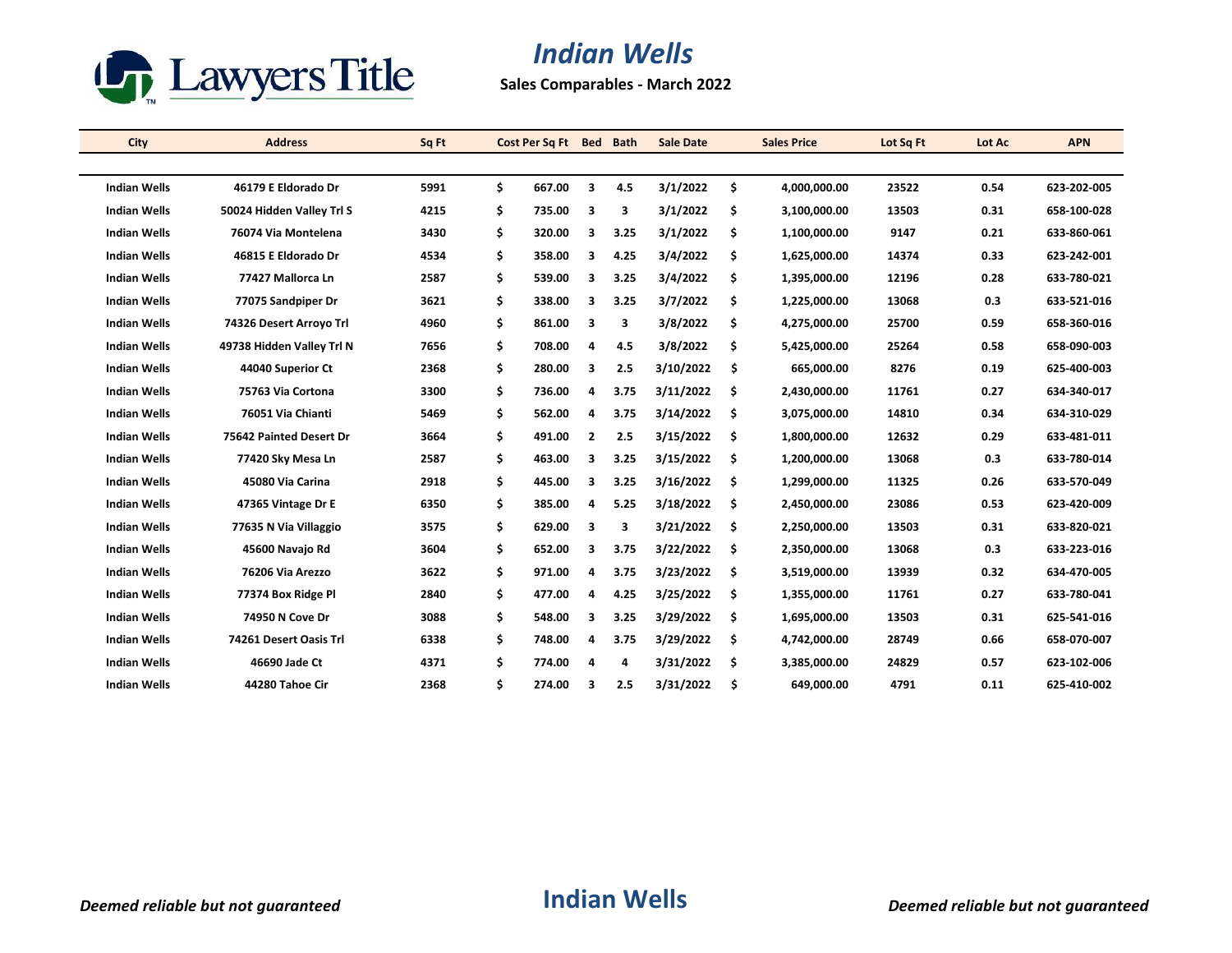

## *Indian Wells*

**Sales Comparables - March 2022**

| <b>City</b>         | <b>Address</b>            | Sq Ft | Cost Per Sq Ft Bed |                | <b>Bath</b> | <b>Sale Date</b> | <b>Sales Price</b> | Lot Sq Ft | Lot Ac | <b>APN</b>  |
|---------------------|---------------------------|-------|--------------------|----------------|-------------|------------------|--------------------|-----------|--------|-------------|
|                     |                           |       |                    |                |             |                  |                    |           |        |             |
| <b>Indian Wells</b> | 46179 E Eldorado Dr       | 5991  | \$<br>667.00       | 3              | 4.5         | 3/1/2022         | \$<br>4,000,000.00 | 23522     | 0.54   | 623-202-005 |
| <b>Indian Wells</b> | 50024 Hidden Valley Trl S | 4215  | \$<br>735.00       | 3              | 3           | 3/1/2022         | \$<br>3,100,000.00 | 13503     | 0.31   | 658-100-028 |
| <b>Indian Wells</b> | 76074 Via Montelena       | 3430  | \$<br>320.00       | 3              | 3.25        | 3/1/2022         | \$<br>1,100,000.00 | 9147      | 0.21   | 633-860-061 |
| <b>Indian Wells</b> | 46815 E Eldorado Dr       | 4534  | \$<br>358.00       | 3              | 4.25        | 3/4/2022         | \$<br>1,625,000.00 | 14374     | 0.33   | 623-242-001 |
| <b>Indian Wells</b> | 77427 Mallorca Ln         | 2587  | \$<br>539.00       | 3              | 3.25        | 3/4/2022         | \$<br>1,395,000.00 | 12196     | 0.28   | 633-780-021 |
| <b>Indian Wells</b> | 77075 Sandpiper Dr        | 3621  | \$<br>338.00       | 3              | 3.25        | 3/7/2022         | \$<br>1,225,000.00 | 13068     | 0.3    | 633-521-016 |
| <b>Indian Wells</b> | 74326 Desert Arroyo Trl   | 4960  | \$<br>861.00       | 3              | 3           | 3/8/2022         | \$<br>4,275,000.00 | 25700     | 0.59   | 658-360-016 |
| <b>Indian Wells</b> | 49738 Hidden Valley Trl N | 7656  | \$<br>708.00       | 4              | 4.5         | 3/8/2022         | \$<br>5,425,000.00 | 25264     | 0.58   | 658-090-003 |
| <b>Indian Wells</b> | 44040 Superior Ct         | 2368  | \$<br>280.00       | 3              | 2.5         | 3/10/2022        | \$<br>665,000.00   | 8276      | 0.19   | 625-400-003 |
| <b>Indian Wells</b> | 75763 Via Cortona         | 3300  | \$<br>736.00       | 4              | 3.75        | 3/11/2022        | \$<br>2,430,000.00 | 11761     | 0.27   | 634-340-017 |
| <b>Indian Wells</b> | 76051 Via Chianti         | 5469  | \$<br>562.00       | 4              | 3.75        | 3/14/2022        | \$<br>3,075,000.00 | 14810     | 0.34   | 634-310-029 |
| <b>Indian Wells</b> | 75642 Painted Desert Dr   | 3664  | \$<br>491.00       | $\overline{2}$ | 2.5         | 3/15/2022        | \$<br>1,800,000.00 | 12632     | 0.29   | 633-481-011 |
| <b>Indian Wells</b> | 77420 Sky Mesa Ln         | 2587  | \$<br>463.00       | 3              | 3.25        | 3/15/2022        | \$<br>1,200,000.00 | 13068     | 0.3    | 633-780-014 |
| <b>Indian Wells</b> | 45080 Via Carina          | 2918  | \$<br>445.00       | 3              | 3.25        | 3/16/2022        | \$<br>1,299,000.00 | 11325     | 0.26   | 633-570-049 |
| <b>Indian Wells</b> | 47365 Vintage Dr E        | 6350  | \$<br>385.00       | 4              | 5.25        | 3/18/2022        | \$<br>2,450,000.00 | 23086     | 0.53   | 623-420-009 |
| <b>Indian Wells</b> | 77635 N Via Villaggio     | 3575  | \$<br>629.00       | 3              | 3           | 3/21/2022        | \$<br>2,250,000.00 | 13503     | 0.31   | 633-820-021 |
| <b>Indian Wells</b> | 45600 Navajo Rd           | 3604  | \$<br>652.00       | 3              | 3.75        | 3/22/2022        | \$<br>2,350,000.00 | 13068     | 0.3    | 633-223-016 |
| <b>Indian Wells</b> | 76206 Via Arezzo          | 3622  | \$<br>971.00       | 4              | 3.75        | 3/23/2022        | \$<br>3,519,000.00 | 13939     | 0.32   | 634-470-005 |
| <b>Indian Wells</b> | 77374 Box Ridge Pl        | 2840  | \$<br>477.00       | 4              | 4.25        | 3/25/2022        | \$<br>1,355,000.00 | 11761     | 0.27   | 633-780-041 |
| <b>Indian Wells</b> | 74950 N Cove Dr           | 3088  | \$<br>548.00       | 3              | 3.25        | 3/29/2022        | \$<br>1,695,000.00 | 13503     | 0.31   | 625-541-016 |
| <b>Indian Wells</b> | 74261 Desert Oasis Trl    | 6338  | \$<br>748.00       | 4              | 3.75        | 3/29/2022        | \$<br>4,742,000.00 | 28749     | 0.66   | 658-070-007 |
| <b>Indian Wells</b> | 46690 Jade Ct             | 4371  | \$<br>774.00       | 4              | 4           | 3/31/2022        | \$<br>3,385,000.00 | 24829     | 0.57   | 623-102-006 |
| <b>Indian Wells</b> | 44280 Tahoe Cir           | 2368  | \$<br>274.00       | 3              | 2.5         | 3/31/2022        | \$<br>649,000.00   | 4791      | 0.11   | 625-410-002 |